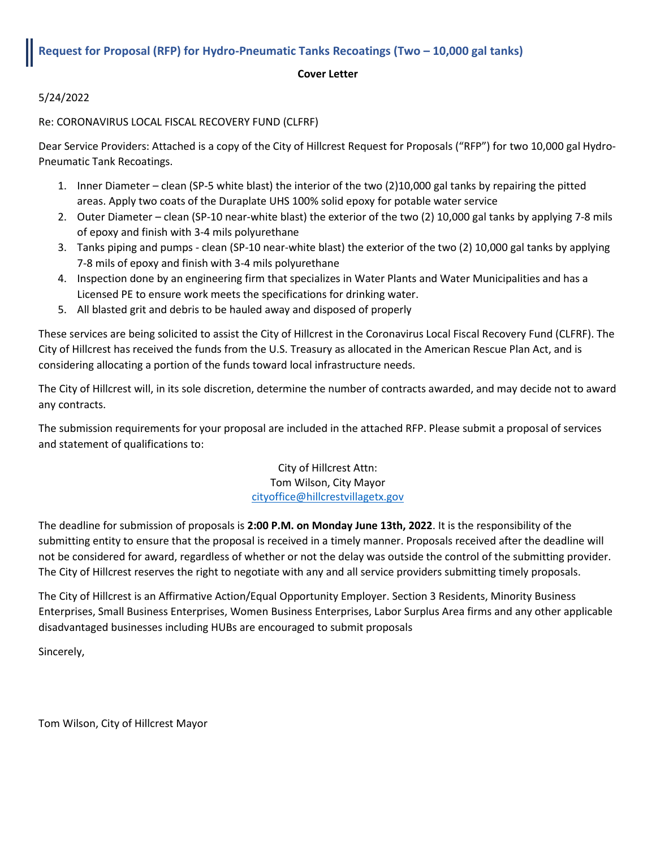# **Request for Proposal (RFP) for Hydro-Pneumatic Tanks Recoatings (Two – 10,000 gal tanks)**

### **Cover Letter**

5/24/2022

Re: CORONAVIRUS LOCAL FISCAL RECOVERY FUND (CLFRF)

Dear Service Providers: Attached is a copy of the City of Hillcrest Request for Proposals ("RFP") for two 10,000 gal Hydro-Pneumatic Tank Recoatings.

- 1. Inner Diameter clean (SP-5 white blast) the interior of the two (2)10,000 gal tanks by repairing the pitted areas. Apply two coats of the Duraplate UHS 100% solid epoxy for potable water service
- 2. Outer Diameter clean (SP-10 near-white blast) the exterior of the two (2) 10,000 gal tanks by applying 7-8 mils of epoxy and finish with 3-4 mils polyurethane
- 3. Tanks piping and pumps clean (SP-10 near-white blast) the exterior of the two (2) 10,000 gal tanks by applying 7-8 mils of epoxy and finish with 3-4 mils polyurethane
- 4. Inspection done by an engineering firm that specializes in Water Plants and Water Municipalities and has a Licensed PE to ensure work meets the specifications for drinking water.
- 5. All blasted grit and debris to be hauled away and disposed of properly

These services are being solicited to assist the City of Hillcrest in the Coronavirus Local Fiscal Recovery Fund (CLFRF). The City of Hillcrest has received the funds from the U.S. Treasury as allocated in the American Rescue Plan Act, and is considering allocating a portion of the funds toward local infrastructure needs.

The City of Hillcrest will, in its sole discretion, determine the number of contracts awarded, and may decide not to award any contracts.

The submission requirements for your proposal are included in the attached RFP. Please submit a proposal of services and statement of qualifications to:

> City of Hillcrest Attn: Tom Wilson, City Mayor [cityoffice@hillcrestvillagetx.gov](mailto:cityoffice@hillcrestvillagetx.gov)

The deadline for submission of proposals is **2:00 P.M. on Monday June 13th, 2022**. It is the responsibility of the submitting entity to ensure that the proposal is received in a timely manner. Proposals received after the deadline will not be considered for award, regardless of whether or not the delay was outside the control of the submitting provider. The City of Hillcrest reserves the right to negotiate with any and all service providers submitting timely proposals.

The City of Hillcrest is an Affirmative Action/Equal Opportunity Employer. Section 3 Residents, Minority Business Enterprises, Small Business Enterprises, Women Business Enterprises, Labor Surplus Area firms and any other applicable disadvantaged businesses including HUBs are encouraged to submit proposals

Sincerely,

Tom Wilson, City of Hillcrest Mayor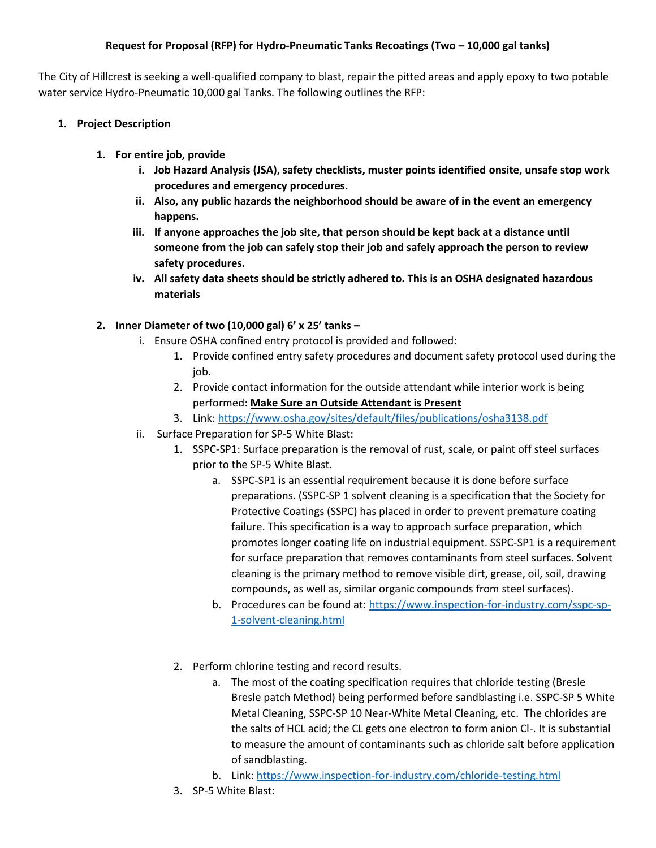## **Request for Proposal (RFP) for Hydro-Pneumatic Tanks Recoatings (Two – 10,000 gal tanks)**

The City of Hillcrest is seeking a well-qualified company to blast, repair the pitted areas and apply epoxy to two potable water service Hydro-Pneumatic 10,000 gal Tanks. The following outlines the RFP:

# **1. Project Description**

- **1. For entire job, provide** 
	- **i. Job Hazard Analysis (JSA), safety checklists, muster points identified onsite, unsafe stop work procedures and emergency procedures.**
	- **ii. Also, any public hazards the neighborhood should be aware of in the event an emergency happens.**
	- **iii. If anyone approaches the job site, that person should be kept back at a distance until someone from the job can safely stop their job and safely approach the person to review safety procedures.**
	- **iv. All safety data sheets should be strictly adhered to. This is an OSHA designated hazardous materials**

# **2. Inner Diameter of two (10,000 gal) 6' x 25' tanks –**

- i. Ensure OSHA confined entry protocol is provided and followed:
	- 1. Provide confined entry safety procedures and document safety protocol used during the job.
	- 2. Provide contact information for the outside attendant while interior work is being performed: **Make Sure an Outside Attendant is Present**
	- 3. Link:<https://www.osha.gov/sites/default/files/publications/osha3138.pdf>
- ii. Surface Preparation for SP-5 White Blast:
	- 1. SSPC-SP1: Surface preparation is the removal of rust, scale, or paint off steel surfaces prior to the SP-5 White Blast.
		- a. SSPC-SP1 is an essential requirement because it is done before surface preparations. (SSPC-SP 1 solvent cleaning is a specification that the Society for Protective Coatings (SSPC) has placed in order to prevent premature coating failure. This specification is a way to approach surface preparation, which promotes longer coating life on industrial equipment. SSPC-SP1 is a requirement for surface preparation that removes contaminants from steel surfaces. Solvent cleaning is the primary method to remove visible dirt, grease, oil, soil, drawing compounds, as well as, similar organic compounds from steel surfaces).
		- b. Procedures can be found at: [https://www.inspection-for-industry.com/sspc-sp-](https://www.inspection-for-industry.com/sspc-sp-1-solvent-cleaning.html)[1-solvent-cleaning.html](https://www.inspection-for-industry.com/sspc-sp-1-solvent-cleaning.html)
	- 2. Perform chlorine testing and record results.
		- a. The most of the coating specification requires that chloride testing (Bresle Bresle patch Method) being performed before sandblasting i.e. SSPC-SP 5 White Metal Cleaning, SSPC-SP 10 Near-White Metal Cleaning, etc. The chlorides are the salts of HCL acid; the CL gets one electron to form anion Cl-. It is substantial to measure the amount of contaminants such as chloride salt before application of sandblasting.
		- b. Link:<https://www.inspection-for-industry.com/chloride-testing.html>
	- 3. SP-5 White Blast: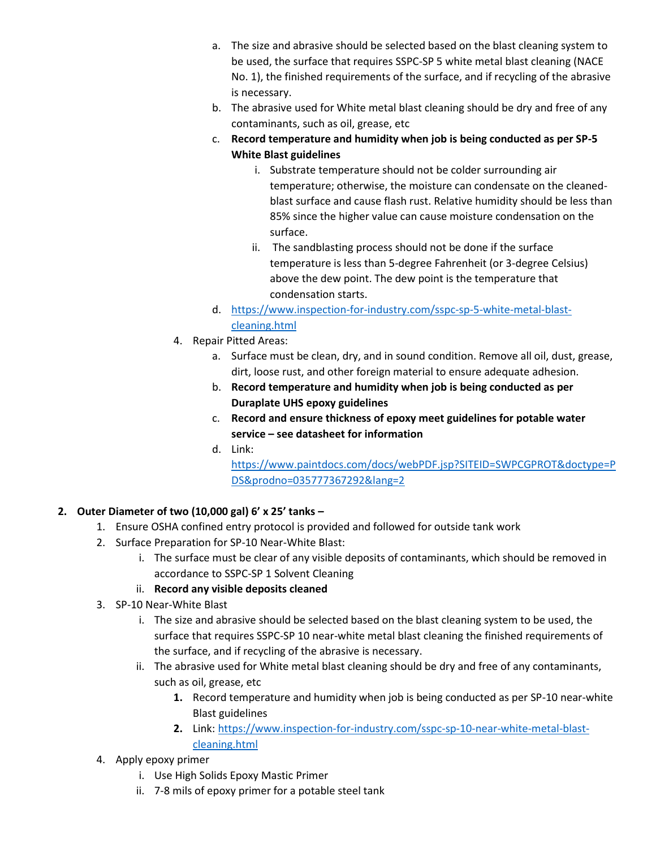- a. The size and abrasive should be selected based on the blast cleaning system to be used, the surface that requires SSPC-SP 5 white metal blast cleaning (NACE No. 1), the finished requirements of the surface, and if recycling of the abrasive is necessary.
- b. The abrasive used for White metal blast cleaning should be dry and free of any contaminants, such as oil, grease, etc
- c. **Record temperature and humidity when job is being conducted as per SP-5 White Blast guidelines** 
	- i. Substrate temperature should not be colder surrounding air temperature; otherwise, the moisture can condensate on the cleanedblast surface and cause flash rust. Relative humidity should be less than 85% since the higher value can cause moisture condensation on the surface.
	- ii. The sandblasting process should not be done if the surface temperature is less than 5-degree Fahrenheit (or 3-degree Celsius) above the dew point. The dew point is the temperature that condensation starts.
- d. [https://www.inspection-for-industry.com/sspc-sp-5-white-metal-blast](https://www.inspection-for-industry.com/sspc-sp-5-white-metal-blast-cleaning.html)[cleaning.html](https://www.inspection-for-industry.com/sspc-sp-5-white-metal-blast-cleaning.html)
- 4. Repair Pitted Areas:
	- a. Surface must be clean, dry, and in sound condition. Remove all oil, dust, grease, dirt, loose rust, and other foreign material to ensure adequate adhesion.
	- b. **Record temperature and humidity when job is being conducted as per Duraplate UHS epoxy guidelines**
	- c. **Record and ensure thickness of epoxy meet guidelines for potable water service – see datasheet for information**
	- d. Link:

[https://www.paintdocs.com/docs/webPDF.jsp?SITEID=SWPCGPROT&doctype=P](https://www.paintdocs.com/docs/webPDF.jsp?SITEID=SWPCGPROT&doctype=PDS&prodno=035777367292&lang=2) [DS&prodno=035777367292&lang=2](https://www.paintdocs.com/docs/webPDF.jsp?SITEID=SWPCGPROT&doctype=PDS&prodno=035777367292&lang=2)

# **2. Outer Diameter of two (10,000 gal) 6' x 25' tanks –**

- 1. Ensure OSHA confined entry protocol is provided and followed for outside tank work
- 2. Surface Preparation for SP-10 Near-White Blast:
	- i. The surface must be clear of any visible deposits of contaminants, which should be removed in accordance to SSPC-SP 1 Solvent Cleaning

# ii. **Record any visible deposits cleaned**

- 3. SP-10 Near-White Blast
	- i. The size and abrasive should be selected based on the blast cleaning system to be used, the surface that requires SSPC-SP 10 near-white metal blast cleaning the finished requirements of the surface, and if recycling of the abrasive is necessary.
	- ii. The abrasive used for White metal blast cleaning should be dry and free of any contaminants, such as oil, grease, etc
		- **1.** Record temperature and humidity when job is being conducted as per SP-10 near-white Blast guidelines
		- **2.** Link: [https://www.inspection-for-industry.com/sspc-sp-10-near-white-metal-blast](https://www.inspection-for-industry.com/sspc-sp-10-near-white-metal-blast-cleaning.html)[cleaning.html](https://www.inspection-for-industry.com/sspc-sp-10-near-white-metal-blast-cleaning.html)
- 4. Apply epoxy primer
	- i. Use High Solids Epoxy Mastic Primer
	- ii. 7-8 mils of epoxy primer for a potable steel tank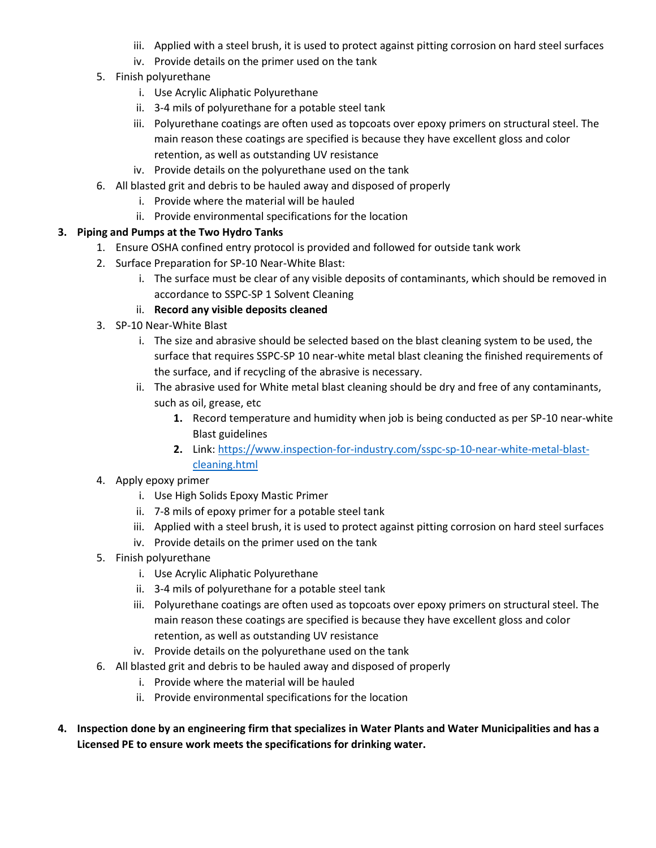- iii. Applied with a steel brush, it is used to protect against pitting corrosion on hard steel surfaces
- iv. Provide details on the primer used on the tank
- 5. Finish polyurethane
	- i. Use Acrylic Aliphatic Polyurethane
	- ii. 3-4 mils of polyurethane for a potable steel tank
	- iii. Polyurethane coatings are often used as topcoats over epoxy primers on structural steel. The main reason these coatings are specified is because they have excellent gloss and color retention, as well as outstanding UV resistance
	- iv. Provide details on the polyurethane used on the tank
- 6. All blasted grit and debris to be hauled away and disposed of properly
	- i. Provide where the material will be hauled
	- ii. Provide environmental specifications for the location

### **3. Piping and Pumps at the Two Hydro Tanks**

- 1. Ensure OSHA confined entry protocol is provided and followed for outside tank work
- 2. Surface Preparation for SP-10 Near-White Blast:
	- i. The surface must be clear of any visible deposits of contaminants, which should be removed in accordance to SSPC-SP 1 Solvent Cleaning
	- ii. **Record any visible deposits cleaned**
- 3. SP-10 Near-White Blast
	- i. The size and abrasive should be selected based on the blast cleaning system to be used, the surface that requires SSPC-SP 10 near-white metal blast cleaning the finished requirements of the surface, and if recycling of the abrasive is necessary.
	- ii. The abrasive used for White metal blast cleaning should be dry and free of any contaminants, such as oil, grease, etc
		- **1.** Record temperature and humidity when job is being conducted as per SP-10 near-white Blast guidelines
		- **2.** Link: [https://www.inspection-for-industry.com/sspc-sp-10-near-white-metal-blast](https://www.inspection-for-industry.com/sspc-sp-10-near-white-metal-blast-cleaning.html)[cleaning.html](https://www.inspection-for-industry.com/sspc-sp-10-near-white-metal-blast-cleaning.html)

## 4. Apply epoxy primer

- i. Use High Solids Epoxy Mastic Primer
- ii. 7-8 mils of epoxy primer for a potable steel tank
- iii. Applied with a steel brush, it is used to protect against pitting corrosion on hard steel surfaces
- iv. Provide details on the primer used on the tank
- 5. Finish polyurethane
	- i. Use Acrylic Aliphatic Polyurethane
	- ii. 3-4 mils of polyurethane for a potable steel tank
	- iii. Polyurethane coatings are often used as topcoats over epoxy primers on structural steel. The main reason these coatings are specified is because they have excellent gloss and color retention, as well as outstanding UV resistance
	- iv. Provide details on the polyurethane used on the tank
- 6. All blasted grit and debris to be hauled away and disposed of properly
	- i. Provide where the material will be hauled
	- ii. Provide environmental specifications for the location
- **4. Inspection done by an engineering firm that specializes in Water Plants and Water Municipalities and has a Licensed PE to ensure work meets the specifications for drinking water.**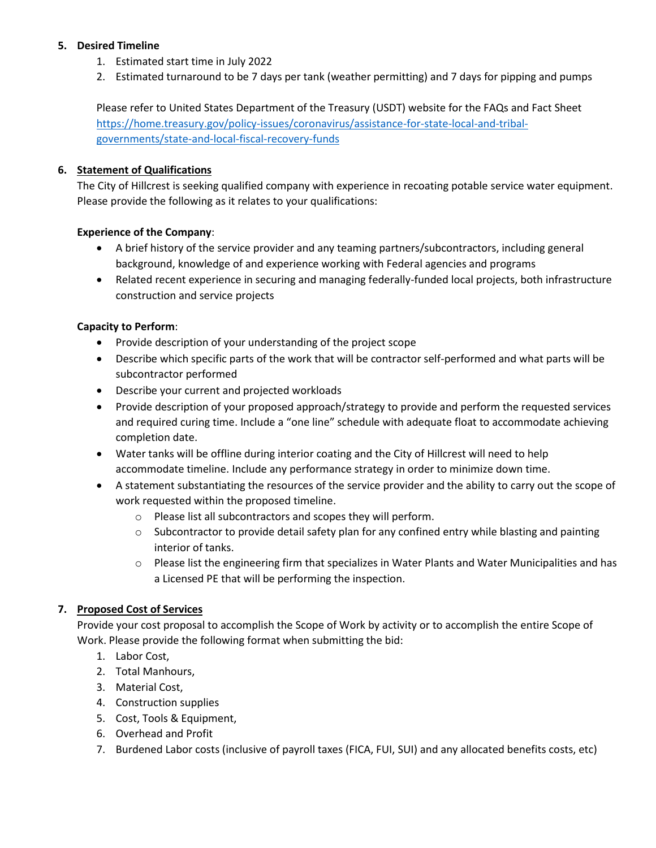## **5. Desired Timeline**

- 1. Estimated start time in July 2022
- 2. Estimated turnaround to be 7 days per tank (weather permitting) and 7 days for pipping and pumps

Please refer to United States Department of the Treasury (USDT) website for the FAQs and Fact Sheet [https://home.treasury.gov/policy-issues/coronavirus/assistance-for-state-local-and-tribal](https://home.treasury.gov/policy-issues/coronavirus/assistance-for-state-local-and-tribal-governments/state-and-local-fiscal-recovery-funds)[governments/state-and-local-fiscal-recovery-funds](https://home.treasury.gov/policy-issues/coronavirus/assistance-for-state-local-and-tribal-governments/state-and-local-fiscal-recovery-funds)

## **6. Statement of Qualifications**

The City of Hillcrest is seeking qualified company with experience in recoating potable service water equipment. Please provide the following as it relates to your qualifications:

### **Experience of the Company**:

- A brief history of the service provider and any teaming partners/subcontractors, including general background, knowledge of and experience working with Federal agencies and programs
- Related recent experience in securing and managing federally-funded local projects, both infrastructure construction and service projects

### **Capacity to Perform**:

- Provide description of your understanding of the project scope
- Describe which specific parts of the work that will be contractor self-performed and what parts will be subcontractor performed
- Describe your current and projected workloads
- Provide description of your proposed approach/strategy to provide and perform the requested services and required curing time. Include a "one line" schedule with adequate float to accommodate achieving completion date.
- Water tanks will be offline during interior coating and the City of Hillcrest will need to help accommodate timeline. Include any performance strategy in order to minimize down time.
- A statement substantiating the resources of the service provider and the ability to carry out the scope of work requested within the proposed timeline.
	- o Please list all subcontractors and scopes they will perform.
	- $\circ$  Subcontractor to provide detail safety plan for any confined entry while blasting and painting interior of tanks.
	- o Please list the engineering firm that specializes in Water Plants and Water Municipalities and has a Licensed PE that will be performing the inspection.

## **7. Proposed Cost of Services**

Provide your cost proposal to accomplish the Scope of Work by activity or to accomplish the entire Scope of Work. Please provide the following format when submitting the bid:

- 1. Labor Cost,
- 2. Total Manhours,
- 3. Material Cost,
- 4. Construction supplies
- 5. Cost, Tools & Equipment,
- 6. Overhead and Profit
- 7. Burdened Labor costs (inclusive of payroll taxes (FICA, FUI, SUI) and any allocated benefits costs, etc)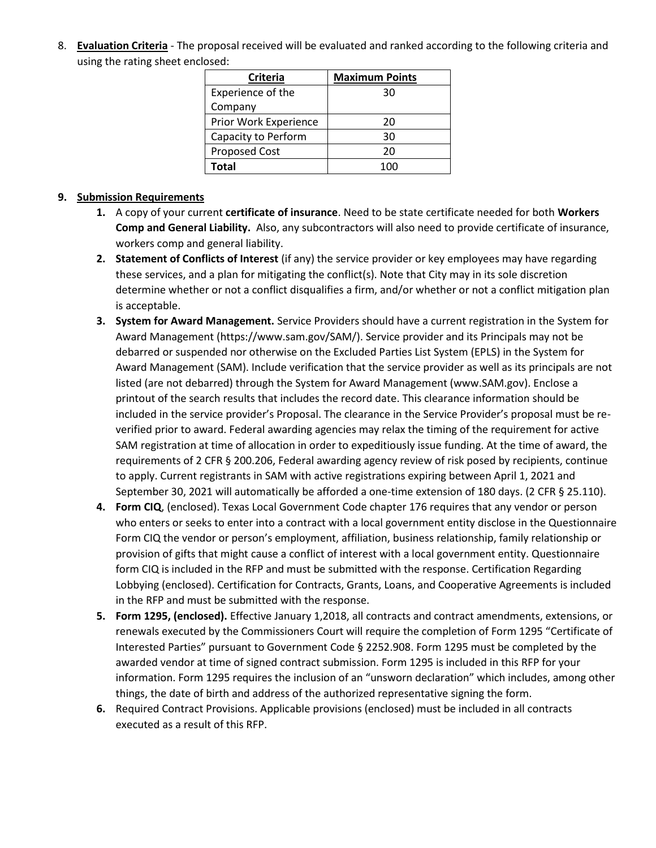8. **Evaluation Criteria** - The proposal received will be evaluated and ranked according to the following criteria and using the rating sheet enclosed:

| <b>Criteria</b>       | <b>Maximum Points</b> |
|-----------------------|-----------------------|
| Experience of the     | 30                    |
| Company               |                       |
| Prior Work Experience | 20                    |
| Capacity to Perform   | 30                    |
| <b>Proposed Cost</b>  | 20                    |
| <b>Total</b>          | 100                   |

### **9. Submission Requirements**

- **1.** A copy of your current **certificate of insurance**. Need to be state certificate needed for both **Workers Comp and General Liability.** Also, any subcontractors will also need to provide certificate of insurance, workers comp and general liability.
- **2. Statement of Conflicts of Interest** (if any) the service provider or key employees may have regarding these services, and a plan for mitigating the conflict(s). Note that City may in its sole discretion determine whether or not a conflict disqualifies a firm, and/or whether or not a conflict mitigation plan is acceptable.
- **3. System for Award Management.** Service Providers should have a current registration in the System for Award Management (https://www.sam.gov/SAM/). Service provider and its Principals may not be debarred or suspended nor otherwise on the Excluded Parties List System (EPLS) in the System for Award Management (SAM). Include verification that the service provider as well as its principals are not listed (are not debarred) through the System for Award Management (www.SAM.gov). Enclose a printout of the search results that includes the record date. This clearance information should be included in the service provider's Proposal. The clearance in the Service Provider's proposal must be reverified prior to award. Federal awarding agencies may relax the timing of the requirement for active SAM registration at time of allocation in order to expeditiously issue funding. At the time of award, the requirements of 2 CFR § 200.206, Federal awarding agency review of risk posed by recipients, continue to apply. Current registrants in SAM with active registrations expiring between April 1, 2021 and September 30, 2021 will automatically be afforded a one-time extension of 180 days. (2 CFR § 25.110).
- **4. Form CIQ**, (enclosed). Texas Local Government Code chapter 176 requires that any vendor or person who enters or seeks to enter into a contract with a local government entity disclose in the Questionnaire Form CIQ the vendor or person's employment, affiliation, business relationship, family relationship or provision of gifts that might cause a conflict of interest with a local government entity. Questionnaire form CIQ is included in the RFP and must be submitted with the response. Certification Regarding Lobbying (enclosed). Certification for Contracts, Grants, Loans, and Cooperative Agreements is included in the RFP and must be submitted with the response.
- **5. Form 1295, (enclosed).** Effective January 1,2018, all contracts and contract amendments, extensions, or renewals executed by the Commissioners Court will require the completion of Form 1295 "Certificate of Interested Parties" pursuant to Government Code § 2252.908. Form 1295 must be completed by the awarded vendor at time of signed contract submission. Form 1295 is included in this RFP for your information. Form 1295 requires the inclusion of an "unsworn declaration" which includes, among other things, the date of birth and address of the authorized representative signing the form.
- **6.** Required Contract Provisions. Applicable provisions (enclosed) must be included in all contracts executed as a result of this RFP.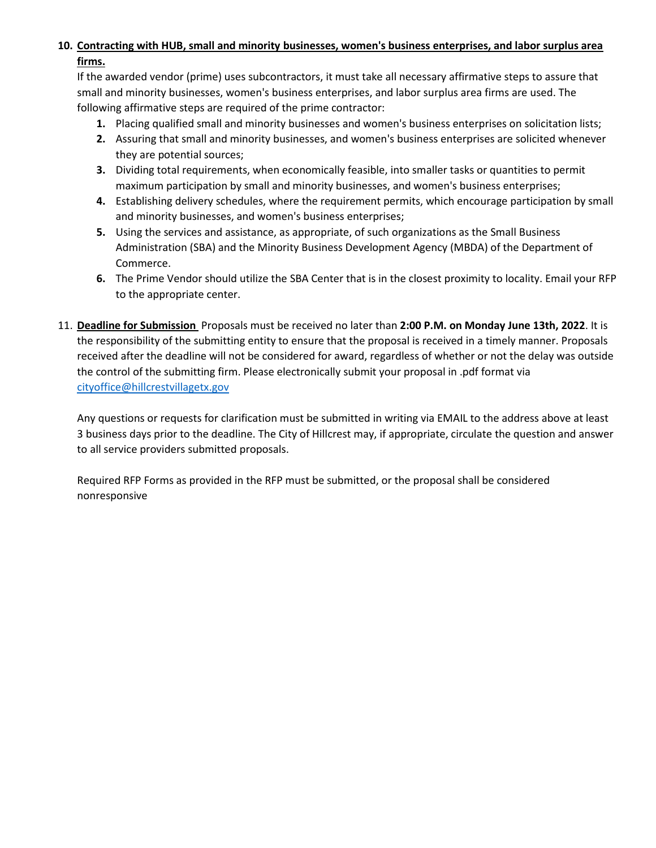# **10. Contracting with HUB, small and minority businesses, women's business enterprises, and labor surplus area firms.**

If the awarded vendor (prime) uses subcontractors, it must take all necessary affirmative steps to assure that small and minority businesses, women's business enterprises, and labor surplus area firms are used. The following affirmative steps are required of the prime contractor:

- **1.** Placing qualified small and minority businesses and women's business enterprises on solicitation lists;
- **2.** Assuring that small and minority businesses, and women's business enterprises are solicited whenever they are potential sources;
- **3.** Dividing total requirements, when economically feasible, into smaller tasks or quantities to permit maximum participation by small and minority businesses, and women's business enterprises;
- **4.** Establishing delivery schedules, where the requirement permits, which encourage participation by small and minority businesses, and women's business enterprises;
- **5.** Using the services and assistance, as appropriate, of such organizations as the Small Business Administration (SBA) and the Minority Business Development Agency (MBDA) of the Department of Commerce.
- **6.** The Prime Vendor should utilize the SBA Center that is in the closest proximity to locality. Email your RFP to the appropriate center.
- 11. **Deadline for Submission** Proposals must be received no later than **2:00 P.M. on Monday June 13th, 2022**. It is the responsibility of the submitting entity to ensure that the proposal is received in a timely manner. Proposals received after the deadline will not be considered for award, regardless of whether or not the delay was outside the control of the submitting firm. Please electronically submit your proposal in .pdf format via [cityoffice@hillcrestvillagetx.gov](mailto:cityoffice@hillcrestvillagetx.gov)

Any questions or requests for clarification must be submitted in writing via EMAIL to the address above at least 3 business days prior to the deadline. The City of Hillcrest may, if appropriate, circulate the question and answer to all service providers submitted proposals.

Required RFP Forms as provided in the RFP must be submitted, or the proposal shall be considered nonresponsive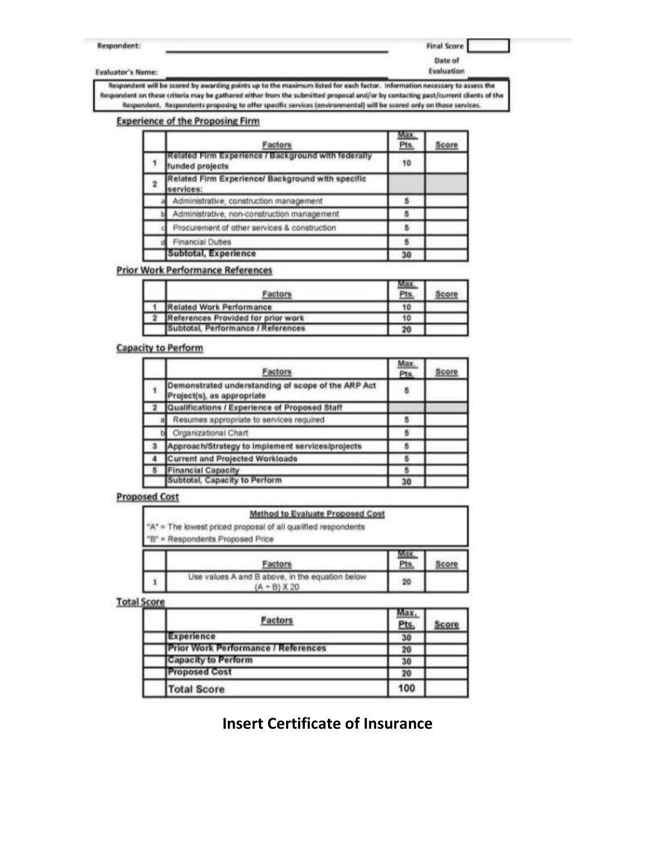Respondent:

#### **Final Score**

Date of

**Evaluator's Name:** 

Evaluation

Respondent will be scored by awarding points up to the maximum listed for each factor. Information necessary to assess the Respondent on these criteria may be gathered either from the submitted proposal and/or by contacting past/current clients of the Respondent. Respondents proposing to offer specific services (environmental) will be scored only on those services.

#### **Experience of the Proposing Firm**

| Factors                                                               | Max.<br>Pts. | Score |
|-----------------------------------------------------------------------|--------------|-------|
| Related Firm Experience / Background with federally<br>unded projects | 10           |       |
| Related Firm Experience/ Background with specific<br>services:        |              |       |
| Administrative, construction management                               | 5            |       |
| Administrative, non-construction management.                          |              |       |
| Procurement of other services & construction                          |              |       |
| <b>Financial Duties</b>                                               | ъ            |       |
| Subtotal, Experience                                                  | 30           |       |

#### **Prior Work Performance References**

| actors                             | Pts |  |
|------------------------------------|-----|--|
| Related Work Performance           | 10  |  |
| References Provided for prior work | 10  |  |
| Subtotal, Performance / References | 20  |  |

### **Capacity to Perform**

| Factors                                                                          | Max.<br>Pts. | Score |
|----------------------------------------------------------------------------------|--------------|-------|
| Demonstrated understanding of scope of the ARP Act<br>Project(s), as appropriate | 5            |       |
| Qualifications / Experience of Proposed Staff                                    |              |       |
| Resumes appropriate to services required                                         |              |       |
| Organizational Chart                                                             | 5            |       |
| Approach/Strategy to implement services/projects                                 | 5            |       |
| <b>Current and Projected Workloads</b>                                           |              |       |
| <b>Financial Capacity</b>                                                        | 6            |       |
| Subtotal, Capacity to Perform                                                    | 30           |       |

#### **Proposed Cost**

| Method to Evaluate Proposed Cost                              |     |  |
|---------------------------------------------------------------|-----|--|
| "A" = The lowest priced proposal of all qualified respondents |     |  |
| "B" = Respondents Proposed Price                              |     |  |
|                                                               |     |  |
| Factors                                                       | Pts |  |

#### **Total Score**

| Factors                                    | <u>Pts</u> | con |
|--------------------------------------------|------------|-----|
| Experience                                 | 30         |     |
| <b>Prior Work Performance / References</b> | 20         |     |
| <b>Capacity to Perform</b>                 | 30         |     |
| <b>Proposed Cost</b>                       | 20         |     |
| <b>Total Score</b>                         | 100        |     |

# **Insert Certificate of Insurance**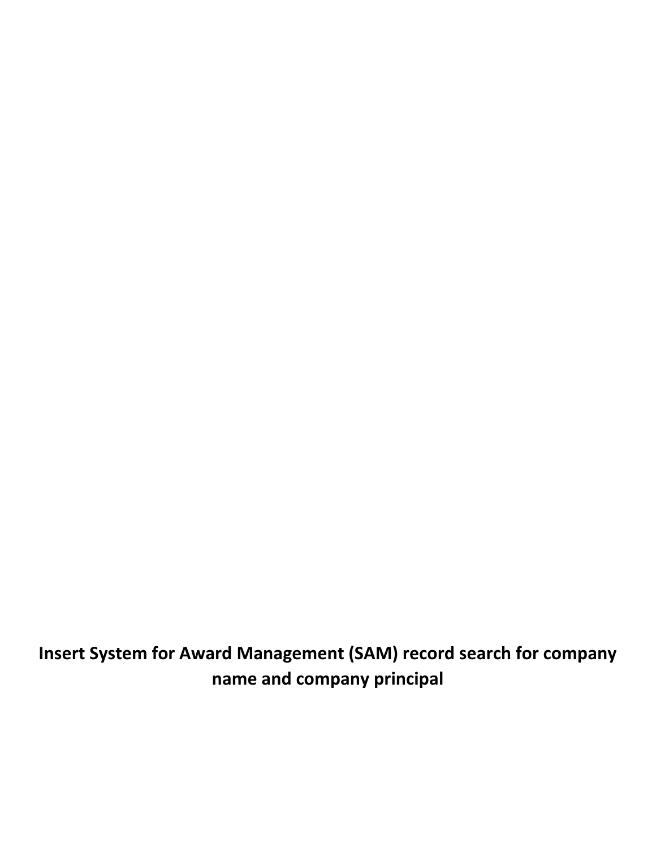**Insert System for Award Management (SAM) record search for company name and company principal**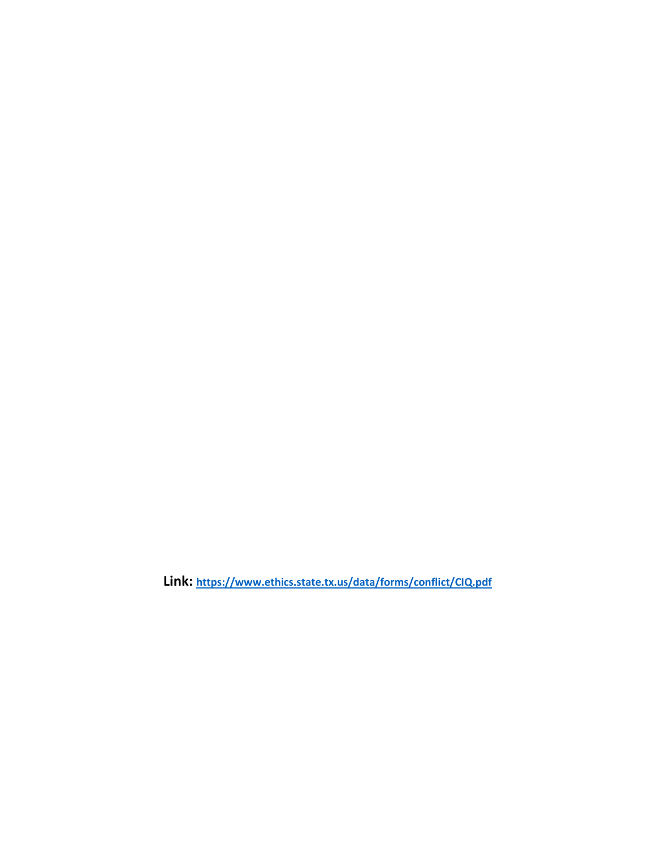**Link: <https://www.ethics.state.tx.us/data/forms/conflict/CIQ.pdf>**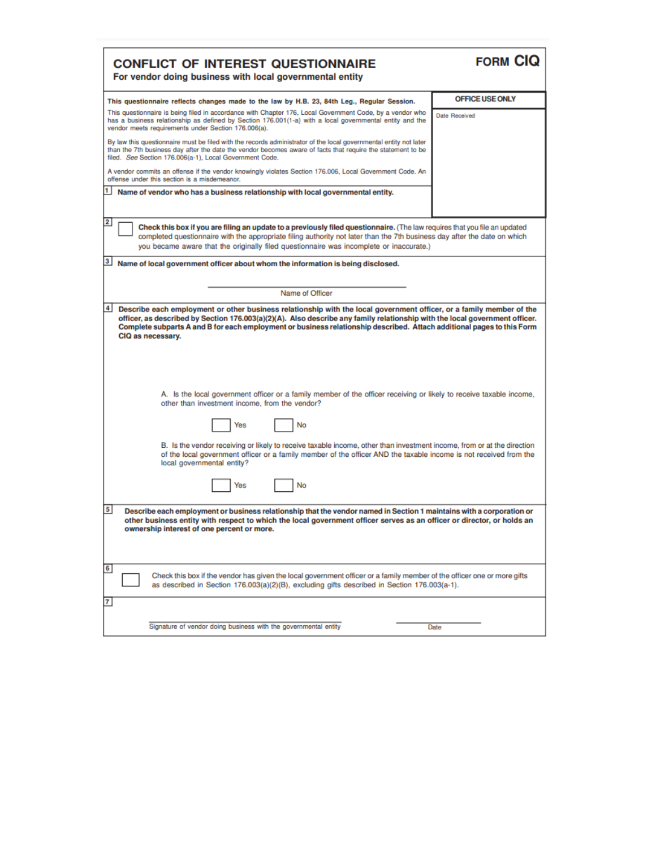| <b>CONFLICT OF INTEREST QUESTIONNAIRE</b><br>For vendor doing business with local governmental entity                                                                                                                                                                                                                                                                                                                                                                                                                                                                                                                                                                                                                                                                                                                                                                                                                                                                                                                             | <b>FORM CIQ</b>        |
|-----------------------------------------------------------------------------------------------------------------------------------------------------------------------------------------------------------------------------------------------------------------------------------------------------------------------------------------------------------------------------------------------------------------------------------------------------------------------------------------------------------------------------------------------------------------------------------------------------------------------------------------------------------------------------------------------------------------------------------------------------------------------------------------------------------------------------------------------------------------------------------------------------------------------------------------------------------------------------------------------------------------------------------|------------------------|
| This questionnaire reflects changes made to the law by H.B. 23, 84th Leg., Regular Session.                                                                                                                                                                                                                                                                                                                                                                                                                                                                                                                                                                                                                                                                                                                                                                                                                                                                                                                                       | <b>OFFICE USE ONLY</b> |
| This questionnaire is being filed in accordance with Chapter 176, Local Government Code, by a vendor who<br>has a business relationship as defined by Section 176.001(1-a) with a local governmental entity and the<br>vendor meets requirements under Section 176.006(a).                                                                                                                                                                                                                                                                                                                                                                                                                                                                                                                                                                                                                                                                                                                                                        | Date Received          |
| By law this questionnaire must be filed with the records administrator of the local governmental entity not later<br>than the 7th business day after the date the vendor becomes aware of facts that require the statement to be<br>filed. See Section 176.006(a-1), Local Government Code.                                                                                                                                                                                                                                                                                                                                                                                                                                                                                                                                                                                                                                                                                                                                       |                        |
| A vendor commits an offense if the vendor knowingly violates Section 176.006, Local Government Code. An<br>offense under this section is a misdemeanor.                                                                                                                                                                                                                                                                                                                                                                                                                                                                                                                                                                                                                                                                                                                                                                                                                                                                           |                        |
| 1  <br>Name of vendor who has a business relationship with local governmental entity.                                                                                                                                                                                                                                                                                                                                                                                                                                                                                                                                                                                                                                                                                                                                                                                                                                                                                                                                             |                        |
| $\overline{\mathbf{2}}$<br>Check this box if you are filing an update to a previously filed questionnaire. (The law requires that you file an updated<br>completed questionnaire with the appropriate filing authority not later than the 7th business day after the date on which<br>you became aware that the originally filed questionnaire was incomplete or inaccurate.)                                                                                                                                                                                                                                                                                                                                                                                                                                                                                                                                                                                                                                                     |                        |
| $\mathbf{3}$<br>Name of local government officer about whom the information is being disclosed.                                                                                                                                                                                                                                                                                                                                                                                                                                                                                                                                                                                                                                                                                                                                                                                                                                                                                                                                   |                        |
| Name of Officer                                                                                                                                                                                                                                                                                                                                                                                                                                                                                                                                                                                                                                                                                                                                                                                                                                                                                                                                                                                                                   |                        |
| $\overline{4}$<br>Describe each employment or other business relationship with the local government officer, or a family member of the<br>officer, as described by Section 176.003(a)(2)(A). Also describe any family relationship with the local government officer.<br>Complete subparts A and B for each employment or business relationship described. Attach additional pages to this Form<br>CIQ as necessary.<br>A. Is the local government officer or a family member of the officer receiving or likely to receive taxable income,<br>other than investment income, from the vendor?<br>No<br>Yes<br>B. Is the vendor receiving or likely to receive taxable income, other than investment income, from or at the direction<br>of the local government officer or a family member of the officer AND the taxable income is not received from the<br>local governmental entity?<br>No<br>Yes<br>5<br>Describe each employment or business relationship that the vendor named in Section 1 maintains with a corporation or |                        |
| other business entity with respect to which the local government officer serves as an officer or director, or holds an<br>ownership interest of one percent or more.<br>6<br>Check this box if the vendor has given the local government officer or a family member of the officer one or more gifts                                                                                                                                                                                                                                                                                                                                                                                                                                                                                                                                                                                                                                                                                                                              |                        |
| as described in Section 176.003(a)(2)(B), excluding gifts described in Section 176.003(a-1).<br>7                                                                                                                                                                                                                                                                                                                                                                                                                                                                                                                                                                                                                                                                                                                                                                                                                                                                                                                                 |                        |
| Signature of vendor doing business with the governmental entity                                                                                                                                                                                                                                                                                                                                                                                                                                                                                                                                                                                                                                                                                                                                                                                                                                                                                                                                                                   | Date                   |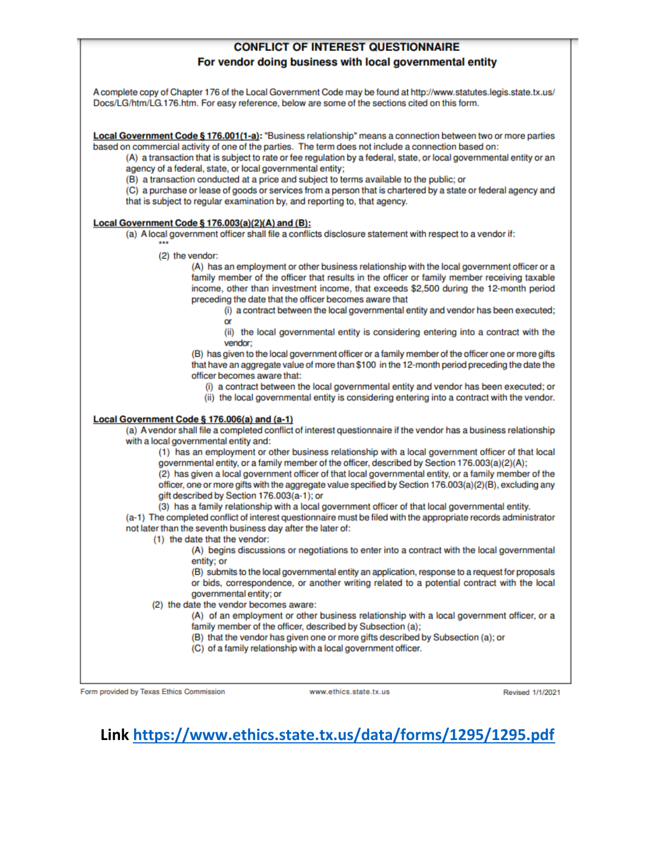# **CONFLICT OF INTEREST QUESTIONNAIRE** For vendor doing business with local governmental entity

A complete copy of Chapter 176 of the Local Government Code may be found at http://www.statutes.legis.state.tx.us/ Docs/LG/htm/LG.176.htm. For easy reference, below are some of the sections cited on this form.

Local Government Code § 176.001(1-a): "Business relationship" means a connection between two or more parties based on commercial activity of one of the parties. The term does not include a connection based on:

(A) a transaction that is subject to rate or fee regulation by a federal, state, or local governmental entity or an agency of a federal, state, or local governmental entity;

(B) a transaction conducted at a price and subject to terms available to the public; or

(C) a purchase or lease of goods or services from a person that is chartered by a state or federal agency and that is subject to regular examination by, and reporting to, that agency.

#### Local Government Code § 176.003(a)(2)(A) and (B):

(a) A local government officer shall file a conflicts disclosure statement with respect to a vendor if:

(2) the vendor:

(A) has an employment or other business relationship with the local government officer or a family member of the officer that results in the officer or family member receiving taxable income, other than investment income, that exceeds \$2,500 during the 12-month period preceding the date that the officer becomes aware that

(i) a contract between the local governmental entity and vendor has been executed; or

(ii) the local governmental entity is considering entering into a contract with the vendor:

(B) has given to the local government officer or a family member of the officer one or more gifts that have an aggregate value of more than \$100 in the 12-month period preceding the date the officer becomes aware that:

(i) a contract between the local governmental entity and vendor has been executed; or

(ii) the local governmental entity is considering entering into a contract with the vendor.

### Local Government Code § 176.006(a) and (a-1)

(a) A vendor shall file a completed conflict of interest questionnaire if the vendor has a business relationship with a local governmental entity and:

(1) has an employment or other business relationship with a local government officer of that local governmental entity, or a family member of the officer, described by Section 176.003(a)(2)(A);

(2) has given a local government officer of that local governmental entity, or a family member of the officer, one or more gifts with the aggregate value specified by Section 176.003(a)(2)(B), excluding any gift described by Section 176.003(a-1); or

(3) has a family relationship with a local government officer of that local governmental entity.

(a-1) The completed conflict of interest questionnaire must be filed with the appropriate records administrator not later than the seventh business day after the later of:

(1) the date that the vendor:

(A) begins discussions or negotiations to enter into a contract with the local governmental entity; or

(B) submits to the local governmental entity an application, response to a request for proposals or bids, correspondence, or another writing related to a potential contract with the local governmental entity; or

(2) the date the vendor becomes aware:

(A) of an employment or other business relationship with a local government officer, or a family member of the officer, described by Subsection (a);

(B) that the vendor has given one or more gifts described by Subsection (a); or

(C) of a family relationship with a local government officer.

Form provided by Texas Ethics Commission

www.ethics.state.tx.us

Revised 1/1/2021

# Link https://www.ethics.state.tx.us/data/forms/1295/1295.pdf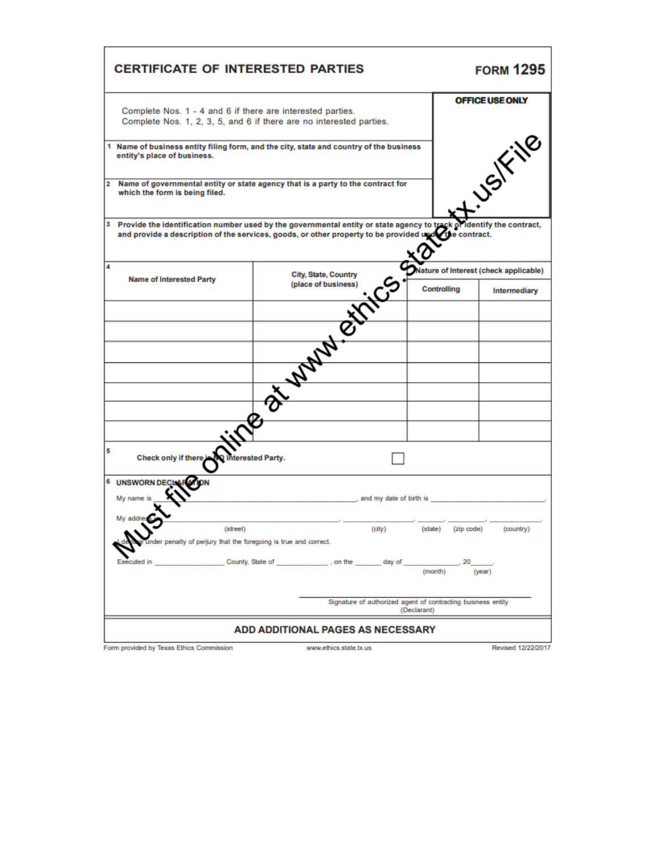|                | Complete Nos. 1 - 4 and 6 if there are interested parties.                                | Complete Nos. 1, 2, 3, 5, and 6 if there are no interested parties.                                                                                                                                              |                         |                    | <b>OFFICE USE ONLY</b>                |
|----------------|-------------------------------------------------------------------------------------------|------------------------------------------------------------------------------------------------------------------------------------------------------------------------------------------------------------------|-------------------------|--------------------|---------------------------------------|
| 1              | entity's place of business.                                                               | Name of business entity filing form, and the city, state and country of the business                                                                                                                             |                         |                    | <b>JSIFING</b>                        |
| $\overline{2}$ | which the form is being filed.                                                            | Name of governmental entity or state agency that is a party to the contract for                                                                                                                                  |                         |                    |                                       |
| 3              |                                                                                           | Provide the identification number used by the governmental entity or state agency to track of identify<br>and provide a description of the services, goods, or other property to be provided upder the contract. |                         |                    | identify the contract.                |
| 4              |                                                                                           |                                                                                                                                                                                                                  |                         |                    | Nature of Interest (check applicable) |
|                | <b>Name of Interested Party</b>                                                           | L. Mary Exilice                                                                                                                                                                                                  |                         | <b>Controlling</b> | Intermediary                          |
|                |                                                                                           |                                                                                                                                                                                                                  |                         |                    |                                       |
|                |                                                                                           |                                                                                                                                                                                                                  |                         |                    |                                       |
|                |                                                                                           |                                                                                                                                                                                                                  |                         |                    |                                       |
|                |                                                                                           |                                                                                                                                                                                                                  |                         |                    |                                       |
|                |                                                                                           |                                                                                                                                                                                                                  |                         |                    |                                       |
|                |                                                                                           |                                                                                                                                                                                                                  |                         |                    |                                       |
|                | $\overline{\mathbf{e}}$                                                                   |                                                                                                                                                                                                                  |                         |                    |                                       |
| 5              | Check only if there in the linterested Party.                                             |                                                                                                                                                                                                                  |                         |                    |                                       |
|                | <b>6 UNSWORN DECI</b>                                                                     |                                                                                                                                                                                                                  |                         |                    |                                       |
|                | My name is                                                                                |                                                                                                                                                                                                                  | and my date of birth is |                    |                                       |
|                | My addres<br>(street)<br>under penalty of perjury that the foregoing is true and correct. | (city)                                                                                                                                                                                                           | (state)                 | (zip code)         | (country)                             |
|                | Executed in                                                                               | County, State of County, State of State 1, on the<br>day of                                                                                                                                                      |                         | (month)            | (year)                                |
|                |                                                                                           | Signature of authorized agent of contracting business entity                                                                                                                                                     |                         |                    |                                       |